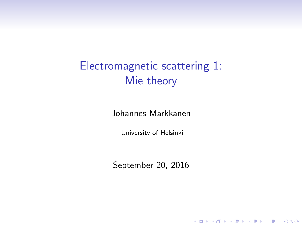Electromagnetic scattering 1: Mie theory

Johannes Markkanen

University of Helsinki

<span id="page-0-0"></span>September 20, 2016

**K ロ ▶ K 個 ▶ K 필 K K 필 K 및 필 시 이 이 이 이**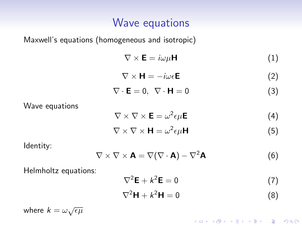## Wave equations

Maxwell's equations (homogeneous and isotropic)

$$
\nabla \times \mathbf{E} = i\omega\mu \mathbf{H}
$$
 (1)

$$
\nabla \times \mathbf{H} = -i\omega \epsilon \mathbf{E}
$$
 (2)

$$
\nabla \cdot \mathbf{E} = 0, \ \nabla \cdot \mathbf{H} = 0 \tag{3}
$$

Wave equations

$$
\nabla \times \nabla \times \mathbf{E} = \omega^2 \epsilon \mu \mathbf{E}
$$
 (4)

$$
\nabla \times \nabla \times \mathbf{H} = \omega^2 \epsilon \mu \mathbf{H}
$$
 (5)

Identity:

$$
\nabla \times \nabla \times \mathbf{A} = \nabla (\nabla \cdot \mathbf{A}) - \nabla^2 \mathbf{A}
$$
 (6)

Helmholtz equations:

$$
\nabla^2 \mathbf{E} + k^2 \mathbf{E} = 0 \tag{7}
$$

$$
\nabla^2 \mathbf{H} + k^2 \mathbf{H} = 0 \tag{8}
$$

**K ロ ▶ K 個 ▶ K 필 K K 필 K 및 필 시 이 이 이 이** 

where  $k = \omega \sqrt{\epsilon \mu}$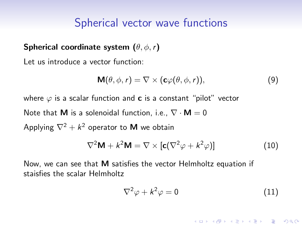#### Spherical vector wave functions

#### Spherical coordinate system  $(\theta, \phi, r)$

Let us introduce a vector function:

$$
\mathbf{M}(\theta,\phi,r)=\nabla\times(\mathbf{c}\varphi(\theta,\phi,r)),\qquad(9)
$$

where  $\varphi$  is a scalar function and **c** is a constant "pilot" vector Note that **M** is a solenoidal function, i.e.,  $\nabla \cdot \mathbf{M} = 0$ Applying  $\nabla^2 + k^2$  operator to **M** we obtain

$$
\nabla^2 \mathbf{M} + k^2 \mathbf{M} = \nabla \times [\mathbf{c}(\nabla^2 \varphi + k^2 \varphi)] \tag{10}
$$

Now, we can see that M satisfies the vector Helmholtz equation if staisfies the scalar Helmholtz

$$
\nabla^2 \varphi + k^2 \varphi = 0 \tag{11}
$$

**KORK ERKER ADE YOUR**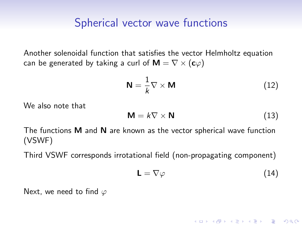#### Spherical vector wave functions

Another solenoidal function that satisfies the vector Helmholtz equation can be generated by taking a curl of  $M = \nabla \times (c\varphi)$ 

$$
\mathbf{N} = \frac{1}{k} \nabla \times \mathbf{M} \tag{12}
$$

We also note that

$$
\mathsf{M} = k \nabla \times \mathsf{N} \tag{13}
$$

The functions M and N are known as the vector spherical wave function (VSWF)

Third VSWF corresponds irrotational field (non-propagating component)

$$
\mathsf{L} = \nabla \varphi \tag{14}
$$

**KORK ERKER ADE YOUR** 

Next, we need to find  $\varphi$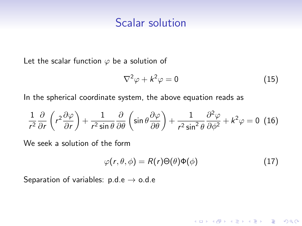#### Scalar solution

Let the scalar function  $\varphi$  be a solution of

$$
\nabla^2 \varphi + k^2 \varphi = 0 \tag{15}
$$

In the spherical coordinate system, the above equation reads as

$$
\frac{1}{r^2}\frac{\partial}{\partial r}\left(r^2\frac{\partial\varphi}{\partial r}\right) + \frac{1}{r^2\sin\theta}\frac{\partial}{\partial \theta}\left(\sin\theta\frac{\partial\varphi}{\partial \theta}\right) + \frac{1}{r^2\sin^2\theta}\frac{\partial^2\varphi}{\partial\phi^2} + k^2\varphi = 0 \tag{16}
$$

We seek a solution of the form

$$
\varphi(r,\theta,\phi) = R(r)\Theta(\theta)\Phi(\phi) \tag{17}
$$

<span id="page-4-1"></span><span id="page-4-0"></span>K ロ ▶ K @ ▶ K 할 > K 할 > 1 할 > 1 이익어

Separation of variables:  $p.d.e \rightarrow o.d.e$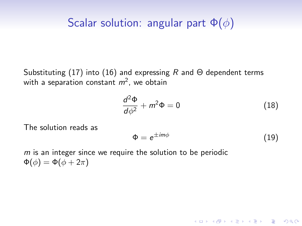## Scalar solution: angular part  $\Phi(\phi)$

Substituting [\(17\)](#page-4-0) into [\(16\)](#page-4-1) and expressing R and  $\Theta$  dependent terms with a separation constant  $m^2$ , we obtain

$$
\frac{d^2\Phi}{d\phi^2} + m^2\Phi = 0\tag{18}
$$

The solution reads as

<span id="page-5-0"></span>
$$
\Phi = e^{\pm im\phi} \tag{19}
$$

**KORK ERKER ADE YOUR** 

 $m$  is an integer since we require the solution to be periodic  $\Phi(\phi) = \Phi(\phi + 2\pi)$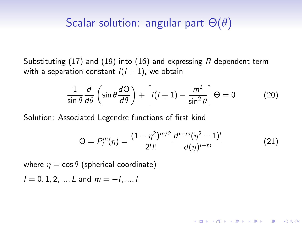### Scalar solution: angular part  $\Theta(\theta)$

Substituting [\(17\)](#page-4-0) and [\(19\)](#page-5-0) into [\(16\)](#page-4-1) and expressing R dependent term with a separation constant  $l(l + 1)$ , we obtain

$$
\frac{1}{\sin\theta}\frac{d}{d\theta}\left(\sin\theta\frac{d\Theta}{d\theta}\right) + \left[l(l+1) - \frac{m^2}{\sin^2\theta}\right]\Theta = 0 \tag{20}
$$

Solution: Associated Legendre functions of first kind

$$
\Theta = P_l^m(\eta) = \frac{(1 - \eta^2)^{m/2}}{2^l l!} \frac{d^{l+m}(\eta^2 - 1)^l}{d(\eta)^{l+m}}
$$
(21)

**KORK ERKER ADE YOUR** 

where  $\eta = \cos \theta$  (spherical coordinate)

 $l = 0, 1, 2, ..., L$  and  $m = -l, ..., l$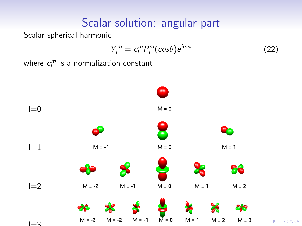# Scalar solution: angular part

Scalar spherical harmonic

$$
Y_l^m = c_l^m P_l^m(\cos\theta) e^{im\phi} \tag{22}
$$

where  $c_l^m$  is a normalization constant

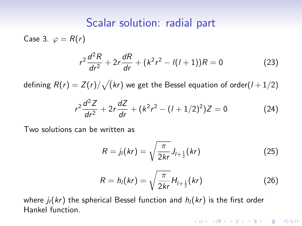#### Scalar solution: radial part

Case 3.  $\varphi = R(r)$ 

$$
r^{2} \frac{d^{2}R}{dr^{2}} + 2r \frac{dR}{dr} + (k^{2}r^{2} - l(l+1))R = 0
$$
 (23)

defining  $R(r)=Z(r)/\sqrt(kr)$  we get the Bessel equation of order $(l+1/2)$ 

$$
r^{2}\frac{d^{2}Z}{dr^{2}} + 2r\frac{dZ}{dr} + (k^{2}r^{2} - (l+1/2)^{2})Z = 0
$$
 (24)

Two solutions can be written as

$$
R = j_l(kr) = \sqrt{\frac{\pi}{2kr}} J_{l+\frac{1}{2}}(kr)
$$
 (25)

$$
R = h_l(kr) = \sqrt{\frac{\pi}{2kr}} H_{l + \frac{1}{2}}(kr)
$$
 (26)

**K ロ ▶ K 個 ▶ K 필 K K 필 K 및 필 시 이 이 이 이** 

where  $j_l(kr)$  the spherical Bessel function and  $h_l(kr)$  is the first order Hankel function.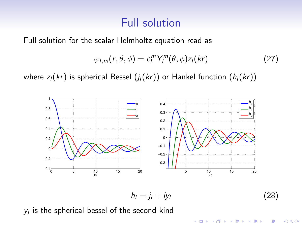## Full solution

Full solution for the scalar Helmholtz equation read as

$$
\varphi_{l,m}(r,\theta,\phi)=c_l^mY_l^m(\theta,\phi)z_l(kr) \qquad (27)
$$

where  $z_l(kr)$  is spherical Bessel  $(j_l(kr))$  or Hankel function  $(h_l(kr))$ 



$$
h_l = j_l + i y_l \tag{28}
$$

 $y_l$  is the spherical bessel of the second kind

K ロンス 御 > ス 할 > ス 할 > 이 할  $QQ$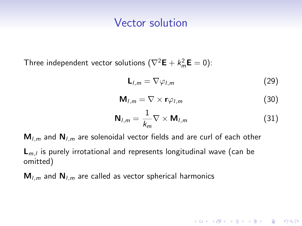#### Vector solution

Three independent vector solutions  $(\nabla^2 \mathbf{E} + k_m^2 \mathbf{E} = 0)$ :

$$
\mathsf{L}_{l,m} = \nabla \varphi_{l,m} \tag{29}
$$

$$
\mathbf{M}_{l,m} = \nabla \times \mathbf{r}\varphi_{l,m} \tag{30}
$$

$$
\mathbf{N}_{l,m} = \frac{1}{k_m} \nabla \times \mathbf{M}_{l,m}
$$
 (31)

**K ロ ▶ K 個 ▶ K 필 K K 필 K 및 필 시 이 이 이 이** 

 $M_{l,m}$  and  $N_{l,m}$  are solenoidal vector fields and are curl of each other

 $\mathsf{L}_{m,l}$  is purely irrotational and represents longitudinal wave (can be omitted)

 $M_{l,m}$  and  $N_{l,m}$  are called as vector spherical harmonics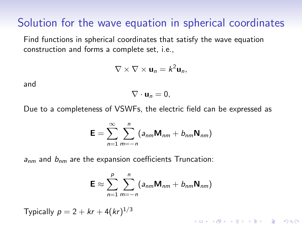### Solution for the wave equation in spherical coordinates

Find functions in spherical coordinates that satisfy the wave equation construction and forms a complete set, i.e.,

$$
\nabla \times \nabla \times \mathbf{u}_n = k^2 \mathbf{u}_n,
$$

and

$$
\nabla\cdot\mathbf{u}_n=0,
$$

Due to a completeness of VSWFs, the electric field can be expressed as

$$
\mathbf{E} = \sum_{n=1}^{\infty} \sum_{m=-n}^{n} (a_{nm} \mathbf{M}_{nm} + b_{nm} \mathbf{N}_{nm})
$$

 $a_{nm}$  and  $b_{nm}$  are the expansion coefficients Truncation:

$$
\mathbf{E} \approx \sum_{n=1}^{p} \sum_{m=-n}^{n} (a_{nm} \mathbf{M}_{nm} + b_{nm} \mathbf{N}_{nm})
$$

4 D > 4 P + 4 B + 4 B + B + 9 Q O

Typically  $p = 2 + kr + 4(kr)^{1/3}$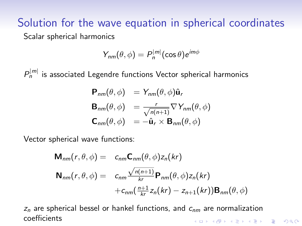#### Solution for the wave equation in spherical coordinates Scalar spherical harmonics

$$
Y_{nm}(\theta,\phi)=P_n^{|m|}(\cos\theta)e^{im\phi}
$$

 $P_n^{\left|m\right|}$  is associated Legendre functions Vector spherical harmonics

$$
\mathbf{P}_{nm}(\theta,\phi) = Y_{nm}(\theta,\phi)\hat{\mathbf{u}}_r
$$
  
\n
$$
\mathbf{B}_{nm}(\theta,\phi) = \frac{r}{\sqrt{n(n+1)}}\nabla Y_{nm}(\theta,\phi)
$$
  
\n
$$
\mathbf{C}_{nm}(\theta,\phi) = -\hat{\mathbf{u}}_r \times \mathbf{B}_{nm}(\theta,\phi)
$$

Vector spherical wave functions:

$$
\mathbf{M}_{nm}(r,\theta,\phi) = c_{nm}\mathbf{C}_{nm}(\theta,\phi)z_n(kr)
$$
  

$$
\mathbf{N}_{nm}(r,\theta,\phi) = c_{nm}\frac{\sqrt{n(n+1)}}{kr}\mathbf{P}_{nm}(\theta,\phi)z_n(kr)
$$

$$
+c_{nm}(\frac{n+1}{kr}z_n(kr)-z_{n+1}(kr))\mathbf{B}_{nm}(\theta,\phi)
$$

<span id="page-12-0"></span> $z_n$  are spherical bessel or hankel functions, and  $c_{nm}$  are normalization coefficients**KORK ERKER ADE YOUR**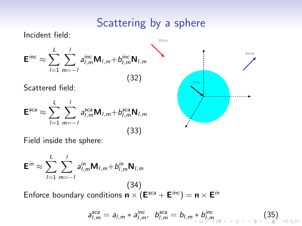## Scattering by a sphere

Incident field:  ${\sf E}^{\sf inc} \approx \sum^L \sum^L$  $l=1$   $m=-l$  $a_{l,m}^{inc}$ M<sub>l,m</sub>+ $b_{l,m}^{inc}$ N<sub>l,m</sub> (32) Scattered field:  $\mathsf{E}^{sca} \approx \sum^L$  $l=1$  $\sum'$  $m=-l$  $a_{l,m}^{sca}$ M<sub>l,m</sub>+ $b_{l,m}^{sca}$ N<sub>l,m</sub> (33) Einc Esca Ein

Field inside the sphere:

$$
\mathbf{E}^{in} \approx \sum_{l=1}^{L} \sum_{m=-l}^{l} a_{l,m}^{in} \mathbf{M}_{l,m} + b_{l,m}^{in} \mathbf{N}_{l,m}
$$
\n(34)  
\nEnforce boundary conditions  $\mathbf{n} \times (\mathbf{E}^{sca} + \mathbf{E}^{inc}) = \mathbf{n} \times \mathbf{E}^{in}$ 

$$
a_{l,m}^{sca} = a_{l,m} * a_{l,m}^{inc}, \quad b_{l,m}^{sca} = b_{l,m} * b_{l,m}^{inc}
$$
 (35)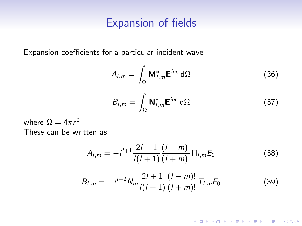#### Expansion of fields

Expansion coefficients for a particular incident wave

$$
A_{l,m} = \int_{\Omega} \mathbf{M}_{l,m}^* \mathbf{E}^{inc} \, d\Omega \tag{36}
$$

$$
B_{l,m} = \int_{\Omega} \mathbf{N}_{l,m}^* \mathbf{E}^{inc} \, d\Omega \tag{37}
$$

where  $\Omega = 4\pi r^2$ These can be written as

$$
A_{l,m} = -i^{l+1} \frac{2l+1}{l(l+1)} \frac{(l-m)!}{(l+m)!} \Pi_{l,m} E_0
$$
 (38)

$$
B_{l,m} = -i^{l+2} N_m \frac{2l+1}{l(l+1)} \frac{(l-m)!}{(l+m)!} T_{l,m} E_0
$$
 (39)

K ロ ▶ K @ ▶ K 할 ▶ K 할 ▶ | 할 | © 9 Q @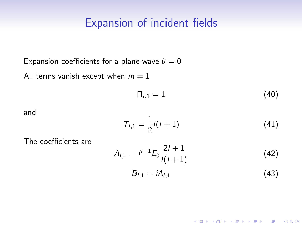### Expansion of incident fields

Expansion coefficients for a plane-wave  $\theta = 0$ All terms vanish except when  $m = 1$ 

$$
\Pi_{l,1}=1\tag{40}
$$

and

$$
T_{l,1} = \frac{1}{2}l(l+1) \tag{41}
$$

The coefficients are

$$
A_{l,1} = i^{l-1} E_0 \frac{2l+1}{l(l+1)}
$$
 (42)

$$
B_{l,1}=iA_{l,1}\tag{43}
$$

**K ロ ▶ K 個 ▶ K 필 K K 필 K 및 필 시 이 이 이 이**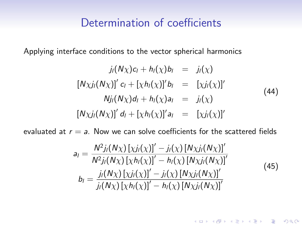#### Determination of coefficients

Applying interface conditions to the vector spherical harmonics

$$
j_{l}(N\chi)c_{l} + h_{l}(\chi)b_{l} = j_{l}(\chi)
$$
  
\n
$$
[N\chi j_{l}(N\chi)]' c_{l} + [\chi h_{l}(\chi)]' b_{l} = [\chi j_{l}(\chi)]'
$$
  
\n
$$
N j_{l}(N\chi)d_{l} + h_{l}(\chi)a_{l} = j_{l}(\chi)
$$
  
\n
$$
[N\chi j_{l}(N\chi)]' d_{l} + [\chi h_{l}(\chi)]' a_{l} = [\chi j_{l}(\chi)]'
$$
\n(44)

evaluated at  $r = a$ . Now we can solve coefficients for the scattered fields

$$
a_{l} = \frac{N^{2}j_{l}(N\chi)\left[\chi j_{l}(\chi)\right]'-j_{l}(\chi)\left[N\chi j_{l}(N\chi)\right]'}{N^{2}j_{l}(N\chi)\left[\chi h_{l}(\chi)\right]'-h_{l}(\chi)\left[N\chi j_{l}(N\chi)\right]'}b_{l} = \frac{j_{l}(N\chi)\left[\chi j_{l}(\chi)\right]'-j_{l}(\chi)\left[N\chi j_{l}(N\chi)\right]'}{j_{l}(N\chi)\left[\chi h_{l}(\chi)\right]'-h_{l}(\chi)\left[N\chi j_{l}(N\chi)\right]'}\tag{45}
$$

K ロ ▶ K @ ▶ K 할 ▶ K 할 ▶ | 할 | © 9 Q @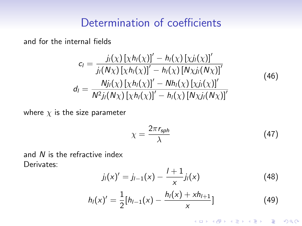## Determination of coefficients

and for the internal fields

$$
c_{l} = \frac{j_{l}(\chi) [\chi h_{l}(\chi)]' - h_{l}(\chi) [\chi j_{l}(\chi)]'}{j_{l}(\mathsf{N}\chi) [\chi h_{l}(\chi)]' - h_{l}(\chi) [\mathsf{N}\chi j_{l}(\mathsf{N}\chi)]'}
$$
\n
$$
d_{l} = \frac{N j_{l}(\chi) [\chi h_{l}(\chi)]' - N h_{l}(\chi) [\chi j_{l}(\chi)]'}{N^{2} j_{l}(\mathsf{N}\chi) [\chi h_{l}(\chi)]' - h_{l}(\chi) [\mathsf{N}\chi j_{l}(\mathsf{N}\chi)]'}
$$
\n(46)

where  $\chi$  is the size parameter

$$
\chi = \frac{2\pi r_{sph}}{\lambda} \tag{47}
$$

K ロ ▶ K @ ▶ K 할 ▶ K 할 ▶ | 할 | © 9 Q @

and N is the refractive index Derivates:

$$
j_l(x)' = j_{l-1}(x) - \frac{l+1}{x}j_l(x) \tag{48}
$$

$$
h_l(x)' = \frac{1}{2} [h_{l-1}(x) - \frac{h_l(x) + xh_{l+1}}{x}]
$$
\n(49)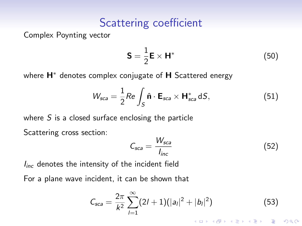## Scattering coefficient

Complex Poynting vector

$$
\mathbf{S} = \frac{1}{2} \mathbf{E} \times \mathbf{H}^* \tag{50}
$$

where **H**<sup>∗</sup> denotes complex conjugate of **H** Scattered energy

$$
W_{sca} = \frac{1}{2} Re \int_{S} \hat{\mathbf{n}} \cdot \mathbf{E}_{sca} \times \mathbf{H}_{sca}^{*} dS,
$$
 (51)

where  $S$  is a closed surface enclosing the particle

Scattering cross section:

$$
C_{sca} = \frac{W_{sca}}{I_{inc}}\tag{52}
$$

 $I_{inc}$  denotes the intensity of the incident field

For a plane wave incident, it can be shown that

$$
C_{sca} = \frac{2\pi}{k^2} \sum_{l=1}^{\infty} (2l+1)(|a_l|^2 + |b_l|^2)
$$
(53)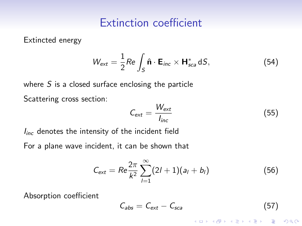### Extinction coefficient

Extincted energy

$$
W_{\text{ext}} = \frac{1}{2} Re \int_{S} \hat{\mathbf{n}} \cdot \mathbf{E}_{inc} \times \mathbf{H}_{sca}^{*} dS, \qquad (54)
$$

where  $S$  is a closed surface enclosing the particle

Scattering cross section:

$$
C_{ext} = \frac{W_{ext}}{I_{inc}} \tag{55}
$$

 $I_{inc}$  denotes the intensity of the incident field

For a plane wave incident, it can be shown that

$$
C_{ext} = Re \frac{2\pi}{k^2} \sum_{l=1}^{\infty} (2l+1)(a_l+b_l)
$$
 (56)

Absorption coefficient

$$
C_{\text{abs}} = C_{\text{ext}} - C_{\text{sca}} \tag{57}
$$

**KORK ERKER ADE YOUR**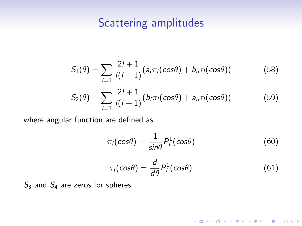## Scattering amplitudes

$$
S_1(\theta) = \sum_{l=1}^{\infty} \frac{2l+1}{l(l+1)} (a_l \pi_l(\cos \theta) + b_n \pi_l(\cos \theta))
$$
 (58)

$$
S_2(\theta) = \sum_{l=1}^{\infty} \frac{2l+1}{l(l+1)} (b_l \pi_l(\cos \theta) + a_n \pi_l(\cos \theta))
$$
 (59)

where angular function are defined as

$$
\pi_I(\cos\theta) = \frac{1}{\sin\theta} P_I^1(\cos\theta)
$$
 (60)

$$
\tau_l(\cos\theta) = \frac{d}{d\theta} P_l^1(\cos\theta) \tag{61}
$$

K ロ ▶ K @ ▶ K 할 ▶ K 할 ▶ | 할 | © 9 Q @

 $S_3$  and  $S_4$  are zeros for spheres